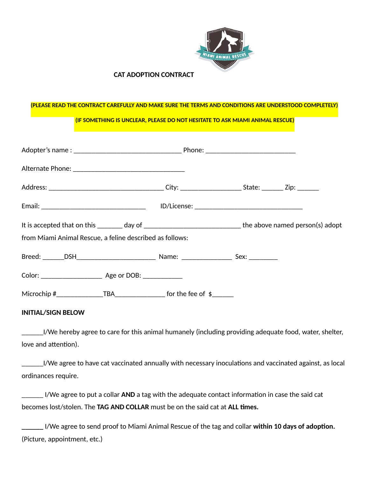

## **CAT ADOPTION CONTRACT**

## **(PLEASE READ THE CONTRACT CAREFULLY AND MAKE SURE THE TERMS AND CONDITIONS ARE UNDERSTOOD COMPLETELY)**

 **(IF SOMETHING IS UNCLEAR, PLEASE DO NOT HESITATE TO ASK MIAMI ANIMAL RESCUE)**

| from Miami Animal Rescue, a feline described as follows: | It is accepted that on this ________ day of __________________________________the above named person(s) adopt |
|----------------------------------------------------------|---------------------------------------------------------------------------------------------------------------|
|                                                          |                                                                                                               |
|                                                          |                                                                                                               |
|                                                          |                                                                                                               |

## **INITIAL/SIGN BELOW**

\_\_\_\_\_\_I/We hereby agree to care for this animal humanely (including providing adequate food, water, shelter, love and attention).

\_\_\_\_\_\_I/We agree to have cat vaccinated annually with necessary inoculaTons and vaccinated against, as local ordinances require.

\_\_\_\_\_\_ I/We agree to put a collar **AND** a tag with the adequate contact informaTon in case the said cat becomes lost/stolen. The **TAG AND COLLAR** must be on the said cat at **ALL ;mes.** 

 $\blacksquare$  I/We agree to send proof to Miami Animal Rescue of the tag and collar **within 10 days of adoption.** (Picture, appointment, etc.)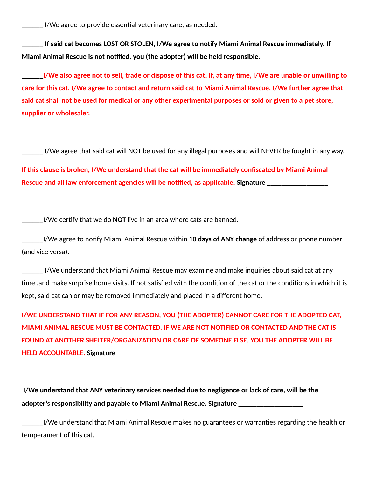I/We agree to provide essential veterinary care, as needed.

If said cat becomes LOST OR STOLEN, I/We agree to notify Miami Animal Rescue immediately. If Miami Animal Rescue is not notified, you (the adopter) will be held responsible.

\_\_\_\_\_\_**I/We also agree not to sell, trade or dispose of this cat. If, at any ;me, I/We are unable or unwilling to care for this cat, I/We agree to contact and return said cat to Miami Animal Rescue. I/We further agree that said cat shall not be used for medical or any other experimental purposes or sold or given to a pet store, supplier or wholesaler.** 

\_\_\_\_\_\_ I/We agree that said cat will NOT be used for any illegal purposes and will NEVER be fought in any way.

**If this clause is broken, I/We understand that the cat will be immediately confiscated by Miami Animal Rescue and all law enforcement agencies will be notified, as applicable. Signature** 

I/We certify that we do **NOT** live in an area where cats are banned.

\_\_\_\_\_\_I/We agree to noTfy Miami Animal Rescue within **10 days of ANY change** of address or phone number (and vice versa).

\_\_\_\_\_\_ I/We understand that Miami Animal Rescue may examine and make inquiries about said cat at any time, and make surprise home visits. If not satisfied with the condition of the cat or the conditions in which it is kept, said cat can or may be removed immediately and placed in a different home.

**I/WE UNDERSTAND THAT IF FOR ANY REASON, YOU (THE ADOPTER) CANNOT CARE FOR THE ADOPTED CAT, MIAMI ANIMAL RESCUE MUST BE CONTACTED. IF WE ARE NOT NOTIFIED OR CONTACTED AND THE CAT IS FOUND AT ANOTHER SHELTER/ORGANIZATION OR CARE OF SOMEONE ELSE, YOU THE ADOPTER WILL BE HELD ACCOUNTABLE. Signature \_\_\_\_\_\_\_\_\_\_\_\_\_\_\_\_\_\_** 

 **I/We understand that ANY veterinary services needed due to negligence or lack of care, will be the adopter's responsibility and payable to Miami Animal Rescue. Signature \_\_\_\_\_\_\_\_\_\_\_\_\_\_\_\_\_\_** 

\_\_\_\_\_\_I/We understand that Miami Animal Rescue makes no guarantees or warranTes regarding the health or temperament of this cat.